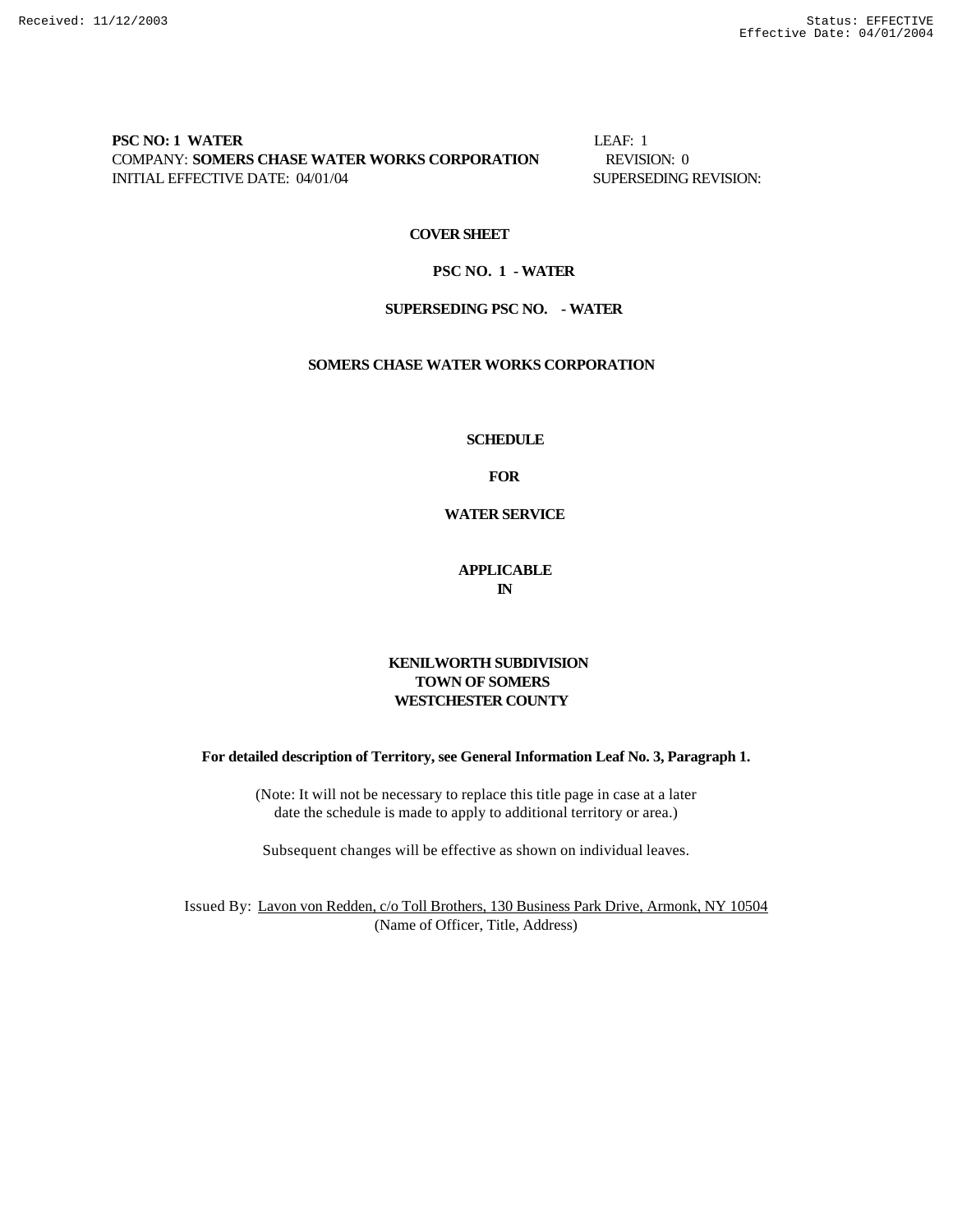### **PSC NO: 1 WATER** LEAF: 1 COMPANY: **SOMERS CHASE WATER WORKS CORPORATION** REVISION: 0 INITIAL EFFECTIVE DATE: 04/01/04 SUPERSEDING REVISION:

### **COVER SHEET**

### **PSC NO. 1 - WATER**

### **SUPERSEDING PSC NO. - WATER**

### **SOMERS CHASE WATER WORKS CORPORATION**

### **SCHEDULE**

**FOR**

# **WATER SERVICE**

# **APPLICABLE IN**

# **KENILWORTH SUBDIVISION TOWN OF SOMERS WESTCHESTER COUNTY**

**For detailed description of Territory, see General Information Leaf No. 3, Paragraph 1.**

(Note: It will not be necessary to replace this title page in case at a later date the schedule is made to apply to additional territory or area.)

Subsequent changes will be effective as shown on individual leaves.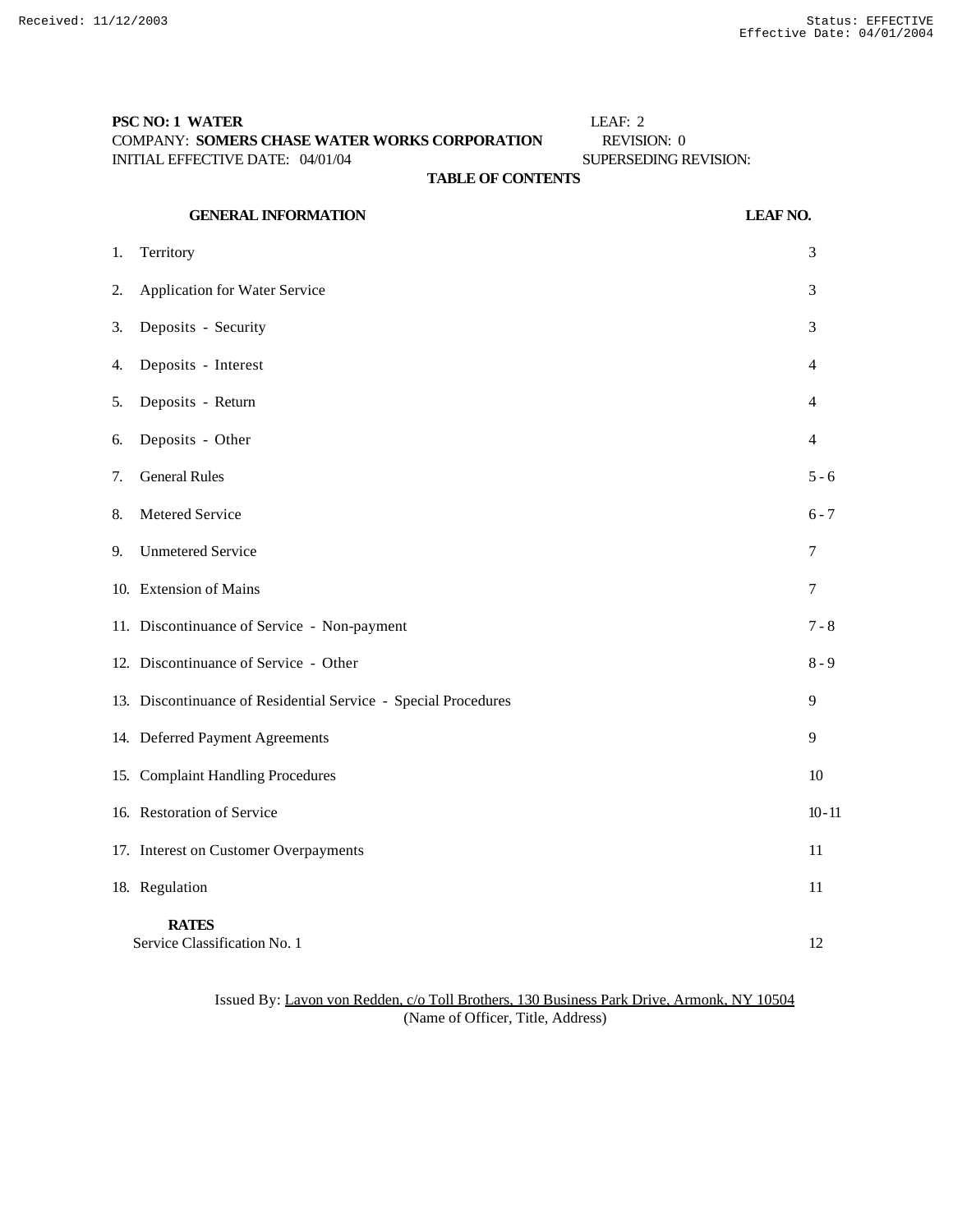# **PSC NO: 1 WATER** LEAF: 2 COMPANY: **SOMERS CHASE WATER WORKS CORPORATION** REVISION: 0 INITIAL EFFECTIVE DATE: 04/01/04 SUPERSEDING REVISION:

# **TABLE OF CONTENTS**

|    | <b>GENERAL INFORMATION</b>                                     | <b>LEAF NO.</b> |
|----|----------------------------------------------------------------|-----------------|
| 1. | Territory                                                      | 3               |
| 2. | Application for Water Service                                  | 3               |
| 3. | Deposits - Security                                            | 3               |
| 4. | Deposits - Interest                                            | 4               |
| 5. | Deposits - Return                                              | 4               |
| 6. | Deposits - Other                                               | 4               |
| 7. | <b>General Rules</b>                                           | $5 - 6$         |
| 8. | Metered Service                                                | $6 - 7$         |
| 9. | <b>Unmetered Service</b>                                       | 7               |
|    | 10. Extension of Mains                                         | 7               |
|    | 11. Discontinuance of Service - Non-payment                    | $7 - 8$         |
|    | 12. Discontinuance of Service - Other                          | $8 - 9$         |
|    | 13. Discontinuance of Residential Service - Special Procedures | 9               |
|    | 14. Deferred Payment Agreements                                | 9               |
|    | 15. Complaint Handling Procedures                              | 10              |
|    | 16. Restoration of Service                                     | $10 - 11$       |
|    | 17. Interest on Customer Overpayments                          | 11              |
|    | 18. Regulation                                                 | 11              |
|    | <b>RATES</b><br>Service Classification No. 1                   | 12              |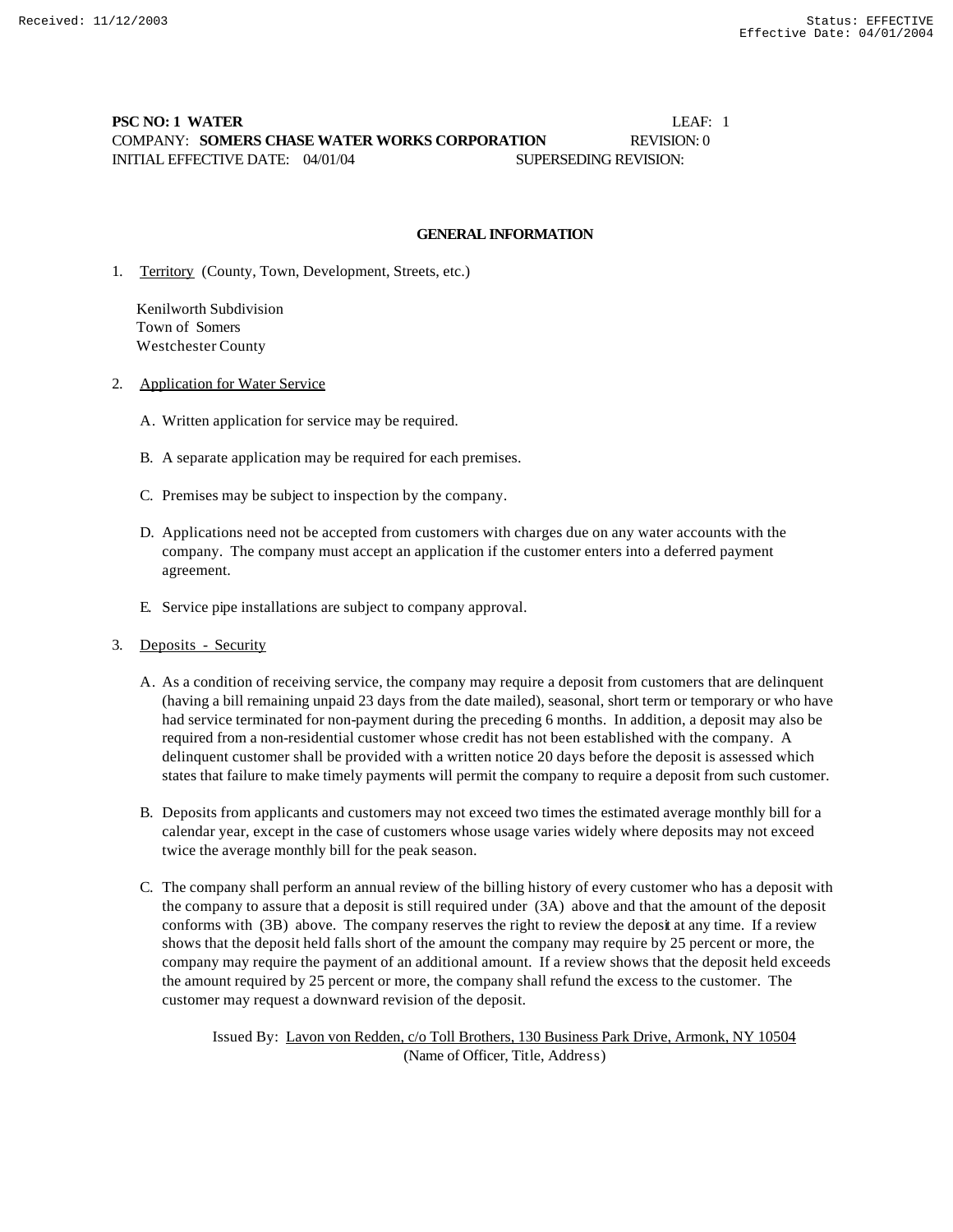# **PSC NO: 1 WATER** LEAF: 1 COMPANY: **SOMERS CHASE WATER WORKS CORPORATION** REVISION: 0 INITIAL EFFECTIVE DATE: 04/01/04 SUPERSEDING REVISION:

### **GENERAL INFORMATION**

1. Territory (County, Town, Development, Streets, etc.)

 Kenilworth Subdivision Town of Somers Westchester County

- 2. Application for Water Service
	- A. Written application for service may be required.
	- B. A separate application may be required for each premises.
	- C. Premises may be subject to inspection by the company.
	- D. Applications need not be accepted from customers with charges due on any water accounts with the company. The company must accept an application if the customer enters into a deferred payment agreement.
	- E. Service pipe installations are subject to company approval.
- 3. Deposits Security
	- A. As a condition of receiving service, the company may require a deposit from customers that are delinquent (having a bill remaining unpaid 23 days from the date mailed), seasonal, short term or temporary or who have had service terminated for non-payment during the preceding 6 months. In addition, a deposit may also be required from a non-residential customer whose credit has not been established with the company. A delinquent customer shall be provided with a written notice 20 days before the deposit is assessed which states that failure to make timely payments will permit the company to require a deposit from such customer.
	- B. Deposits from applicants and customers may not exceed two times the estimated average monthly bill for a calendar year, except in the case of customers whose usage varies widely where deposits may not exceed twice the average monthly bill for the peak season.
	- C. The company shall perform an annual review of the billing history of every customer who has a deposit with the company to assure that a deposit is still required under (3A) above and that the amount of the deposit conforms with (3B) above. The company reserves the right to review the deposit at any time. If a review shows that the deposit held falls short of the amount the company may require by 25 percent or more, the company may require the payment of an additional amount. If a review shows that the deposit held exceeds the amount required by 25 percent or more, the company shall refund the excess to the customer. The customer may request a downward revision of the deposit.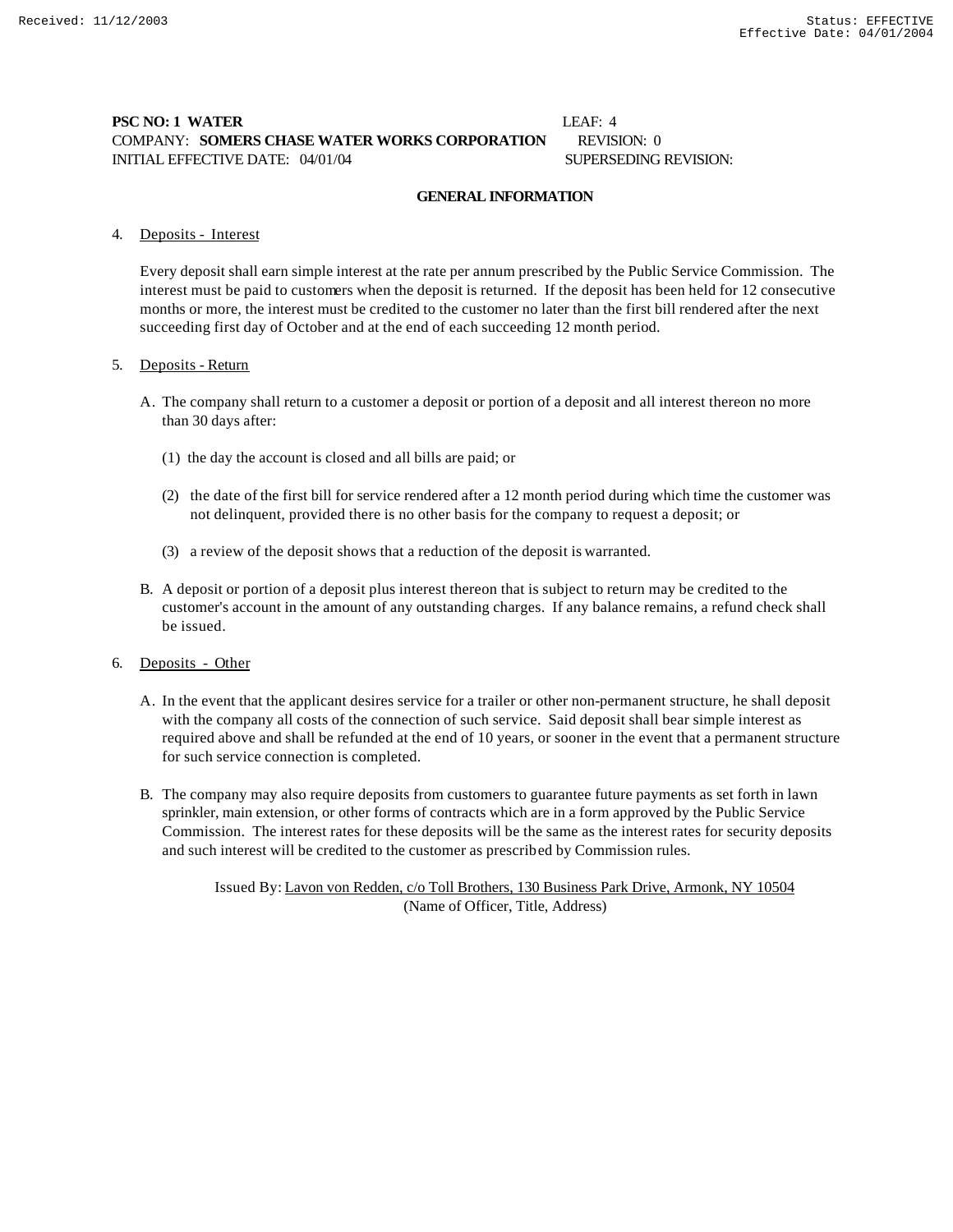# **PSC NO: 1 WATER** LEAF: 4 COMPANY: **SOMERS CHASE WATER WORKS CORPORATION** REVISION: 0 INITIAL EFFECTIVE DATE: 04/01/04 SUPERSEDING REVISION:

# **GENERAL INFORMATION**

### 4. Deposits - Interest

Every deposit shall earn simple interest at the rate per annum prescribed by the Public Service Commission. The interest must be paid to customers when the deposit is returned. If the deposit has been held for 12 consecutive months or more, the interest must be credited to the customer no later than the first bill rendered after the next succeeding first day of October and at the end of each succeeding 12 month period.

### 5. Deposits - Return

- A. The company shall return to a customer a deposit or portion of a deposit and all interest thereon no more than 30 days after:
	- (1) the day the account is closed and all bills are paid; or
	- (2) the date of the first bill for service rendered after a 12 month period during which time the customer was not delinquent, provided there is no other basis for the company to request a deposit; or
	- (3) a review of the deposit shows that a reduction of the deposit is warranted.
- B. A deposit or portion of a deposit plus interest thereon that is subject to return may be credited to the customer's account in the amount of any outstanding charges. If any balance remains, a refund check shall be issued.

# 6. Deposits - Other

- A. In the event that the applicant desires service for a trailer or other non-permanent structure, he shall deposit with the company all costs of the connection of such service. Said deposit shall bear simple interest as required above and shall be refunded at the end of 10 years, or sooner in the event that a permanent structure for such service connection is completed.
- B. The company may also require deposits from customers to guarantee future payments as set forth in lawn sprinkler, main extension, or other forms of contracts which are in a form approved by the Public Service Commission. The interest rates for these deposits will be the same as the interest rates for security deposits and such interest will be credited to the customer as prescribed by Commission rules.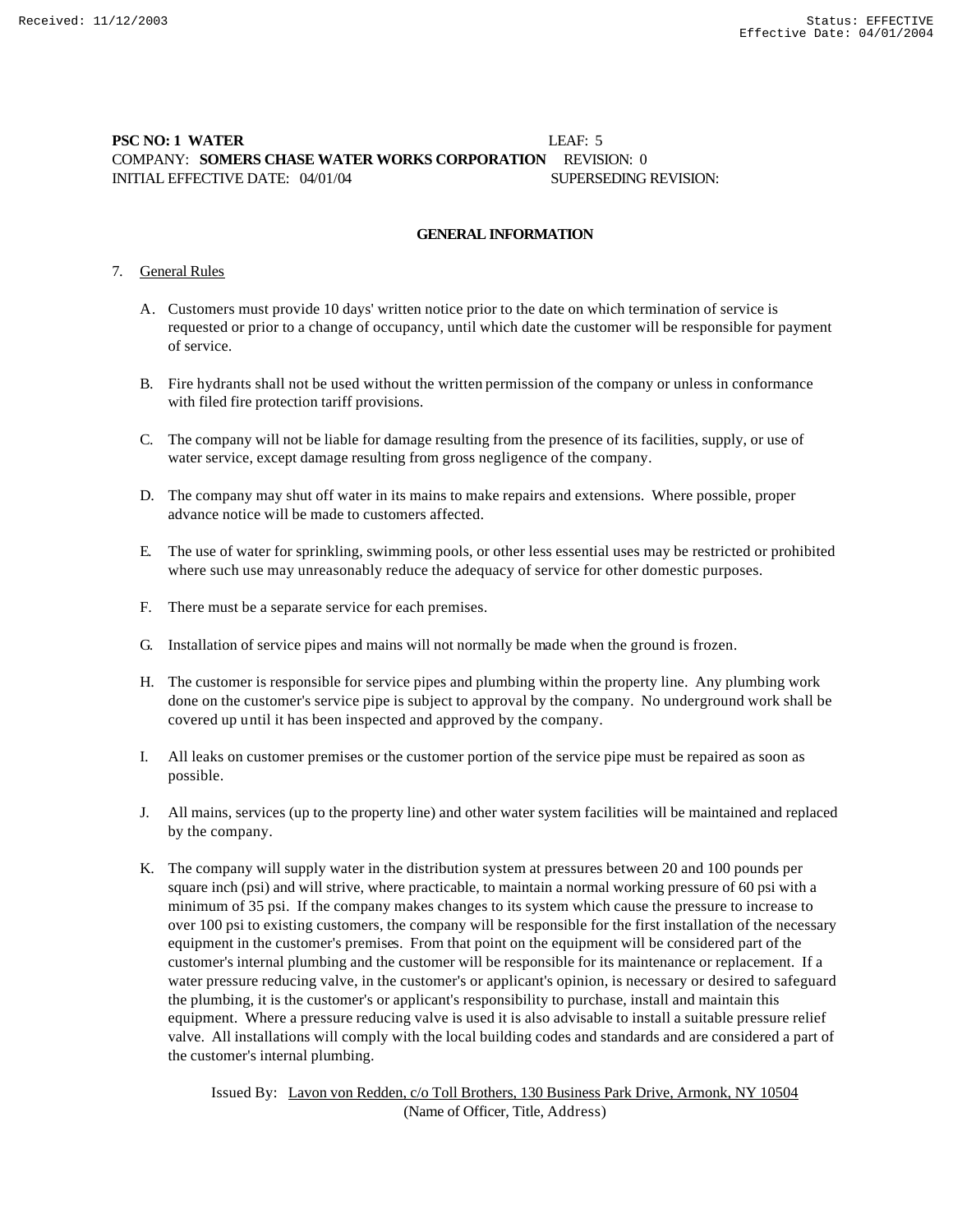# **PSC NO: 1 WATER LEAF: 5** COMPANY: **SOMERS CHASE WATER WORKS CORPORATION** REVISION: 0 INITIAL EFFECTIVE DATE: 04/01/04 SUPERSEDING REVISION:

### **GENERAL INFORMATION**

## 7. General Rules

- A. Customers must provide 10 days' written notice prior to the date on which termination of service is requested or prior to a change of occupancy, until which date the customer will be responsible for payment of service.
- B. Fire hydrants shall not be used without the written permission of the company or unless in conformance with filed fire protection tariff provisions.
- C. The company will not be liable for damage resulting from the presence of its facilities, supply, or use of water service, except damage resulting from gross negligence of the company.
- D. The company may shut off water in its mains to make repairs and extensions. Where possible, proper advance notice will be made to customers affected.
- E. The use of water for sprinkling, swimming pools, or other less essential uses may be restricted or prohibited where such use may unreasonably reduce the adequacy of service for other domestic purposes.
- F. There must be a separate service for each premises.
- G. Installation of service pipes and mains will not normally be made when the ground is frozen.
- H. The customer is responsible for service pipes and plumbing within the property line. Any plumbing work done on the customer's service pipe is subject to approval by the company. No underground work shall be covered up until it has been inspected and approved by the company.
- I. All leaks on customer premises or the customer portion of the service pipe must be repaired as soon as possible.
- J. All mains, services (up to the property line) and other water system facilities will be maintained and replaced by the company.
- K. The company will supply water in the distribution system at pressures between 20 and 100 pounds per square inch (psi) and will strive, where practicable, to maintain a normal working pressure of 60 psi with a minimum of 35 psi. If the company makes changes to its system which cause the pressure to increase to over 100 psi to existing customers, the company will be responsible for the first installation of the necessary equipment in the customer's premises. From that point on the equipment will be considered part of the customer's internal plumbing and the customer will be responsible for its maintenance or replacement. If a water pressure reducing valve, in the customer's or applicant's opinion, is necessary or desired to safeguard the plumbing, it is the customer's or applicant's responsibility to purchase, install and maintain this equipment. Where a pressure reducing valve is used it is also advisable to install a suitable pressure relief valve. All installations will comply with the local building codes and standards and are considered a part of the customer's internal plumbing.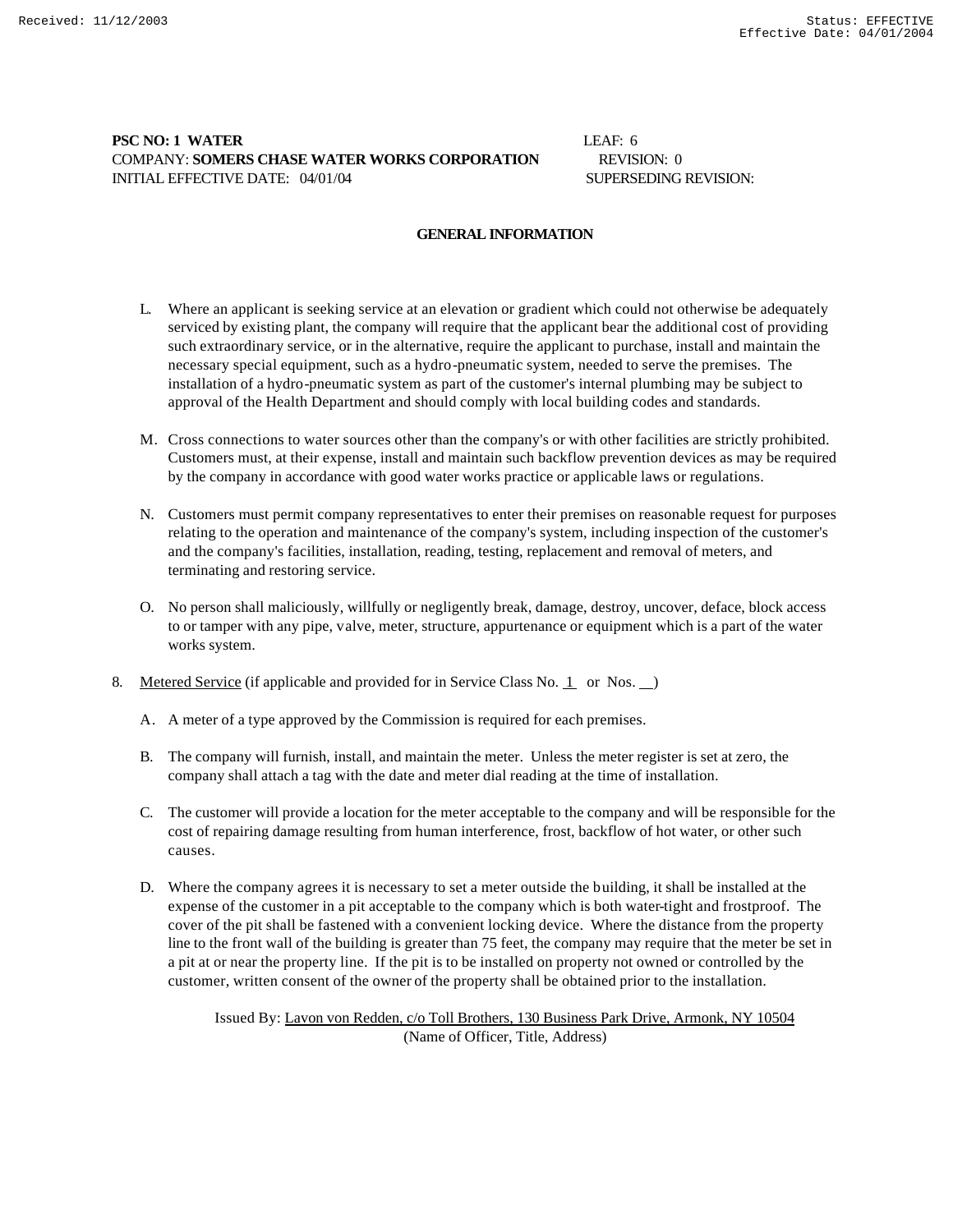# **PSC NO: 1 WATER** LEAF: 6 COMPANY: **SOMERS CHASE WATER WORKS CORPORATION** REVISION: 0 INITIAL EFFECTIVE DATE: 04/01/04 SUPERSEDING REVISION:

### **GENERAL INFORMATION**

- L. Where an applicant is seeking service at an elevation or gradient which could not otherwise be adequately serviced by existing plant, the company will require that the applicant bear the additional cost of providing such extraordinary service, or in the alternative, require the applicant to purchase, install and maintain the necessary special equipment, such as a hydro-pneumatic system, needed to serve the premises. The installation of a hydro-pneumatic system as part of the customer's internal plumbing may be subject to approval of the Health Department and should comply with local building codes and standards.
- M. Cross connections to water sources other than the company's or with other facilities are strictly prohibited. Customers must, at their expense, install and maintain such backflow prevention devices as may be required by the company in accordance with good water works practice or applicable laws or regulations.
- N. Customers must permit company representatives to enter their premises on reasonable request for purposes relating to the operation and maintenance of the company's system, including inspection of the customer's and the company's facilities, installation, reading, testing, replacement and removal of meters, and terminating and restoring service.
- O. No person shall maliciously, willfully or negligently break, damage, destroy, uncover, deface, block access to or tamper with any pipe, valve, meter, structure, appurtenance or equipment which is a part of the water works system.
- 8. Metered Service (if applicable and provided for in Service Class No. 1 or Nos. )
	- A. A meter of a type approved by the Commission is required for each premises.
	- B. The company will furnish, install, and maintain the meter. Unless the meter register is set at zero, the company shall attach a tag with the date and meter dial reading at the time of installation.
	- C. The customer will provide a location for the meter acceptable to the company and will be responsible for the cost of repairing damage resulting from human interference, frost, backflow of hot water, or other such causes.
	- D. Where the company agrees it is necessary to set a meter outside the building, it shall be installed at the expense of the customer in a pit acceptable to the company which is both water-tight and frostproof. The cover of the pit shall be fastened with a convenient locking device. Where the distance from the property line to the front wall of the building is greater than 75 feet, the company may require that the meter be set in a pit at or near the property line. If the pit is to be installed on property not owned or controlled by the customer, written consent of the owner of the property shall be obtained prior to the installation.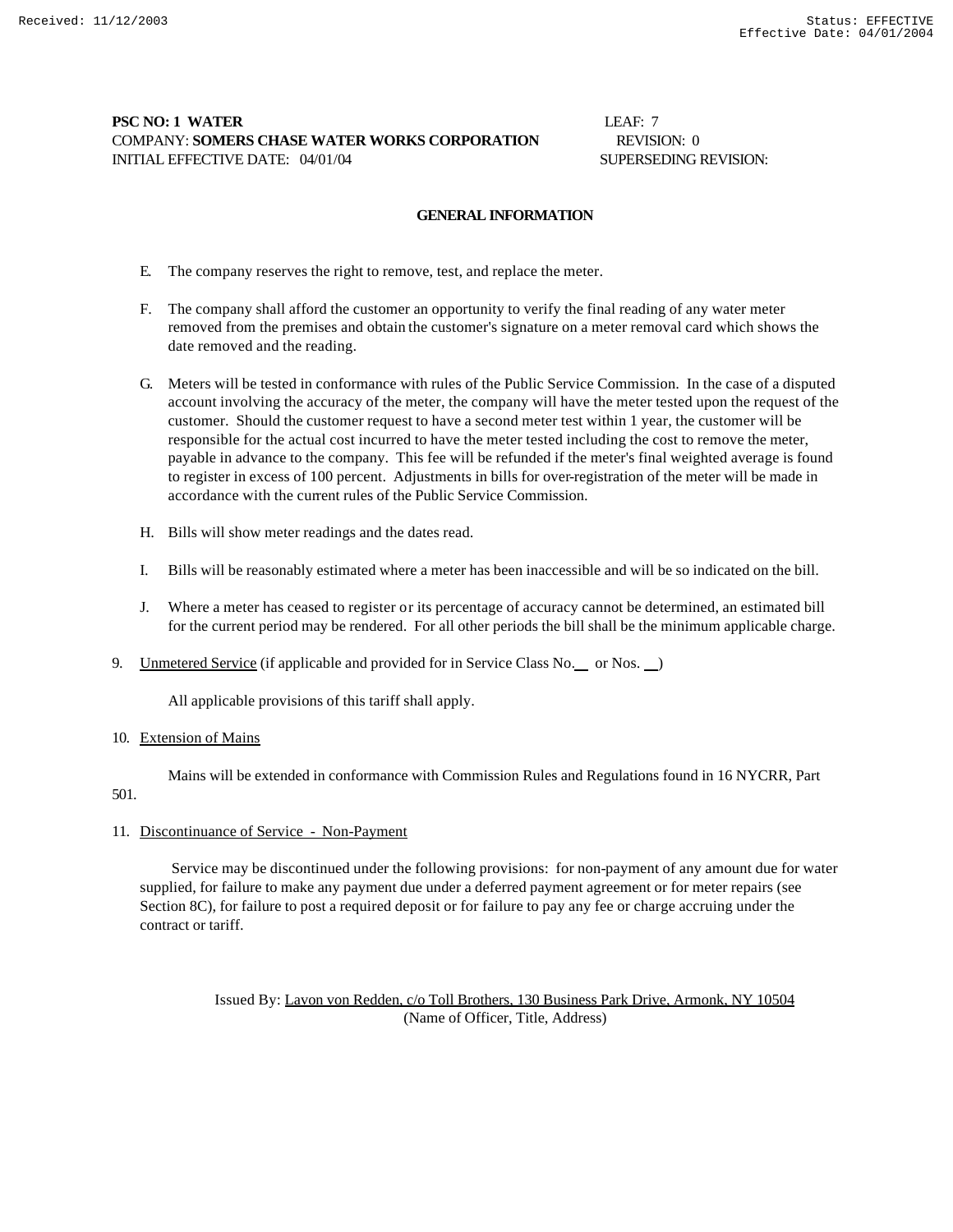# **PSC NO: 1 WATER LEAF: 7 LEAF: 7** COMPANY: **SOMERS CHASE WATER WORKS CORPORATION** REVISION: 0 INITIAL EFFECTIVE DATE: 04/01/04 SUPERSEDING REVISION:

### **GENERAL INFORMATION**

- E. The company reserves the right to remove, test, and replace the meter.
- F. The company shall afford the customer an opportunity to verify the final reading of any water meter removed from the premises and obtain the customer's signature on a meter removal card which shows the date removed and the reading.
- G. Meters will be tested in conformance with rules of the Public Service Commission. In the case of a disputed account involving the accuracy of the meter, the company will have the meter tested upon the request of the customer. Should the customer request to have a second meter test within 1 year, the customer will be responsible for the actual cost incurred to have the meter tested including the cost to remove the meter, payable in advance to the company. This fee will be refunded if the meter's final weighted average is found to register in excess of 100 percent. Adjustments in bills for over-registration of the meter will be made in accordance with the current rules of the Public Service Commission.
- H. Bills will show meter readings and the dates read.
- I. Bills will be reasonably estimated where a meter has been inaccessible and will be so indicated on the bill.
- J. Where a meter has ceased to register or its percentage of accuracy cannot be determined, an estimated bill for the current period may be rendered. For all other periods the bill shall be the minimum applicable charge.
- 9. Unmetered Service (if applicable and provided for in Service Class No. \_\_ or Nos. \_\_)

All applicable provisions of this tariff shall apply.

### 10. Extension of Mains

Mains will be extended in conformance with Commission Rules and Regulations found in 16 NYCRR, Part

# 501.

## 11. Discontinuance of Service - Non-Payment

 Service may be discontinued under the following provisions: for non-payment of any amount due for water supplied, for failure to make any payment due under a deferred payment agreement or for meter repairs (see Section 8C), for failure to post a required deposit or for failure to pay any fee or charge accruing under the contract or tariff.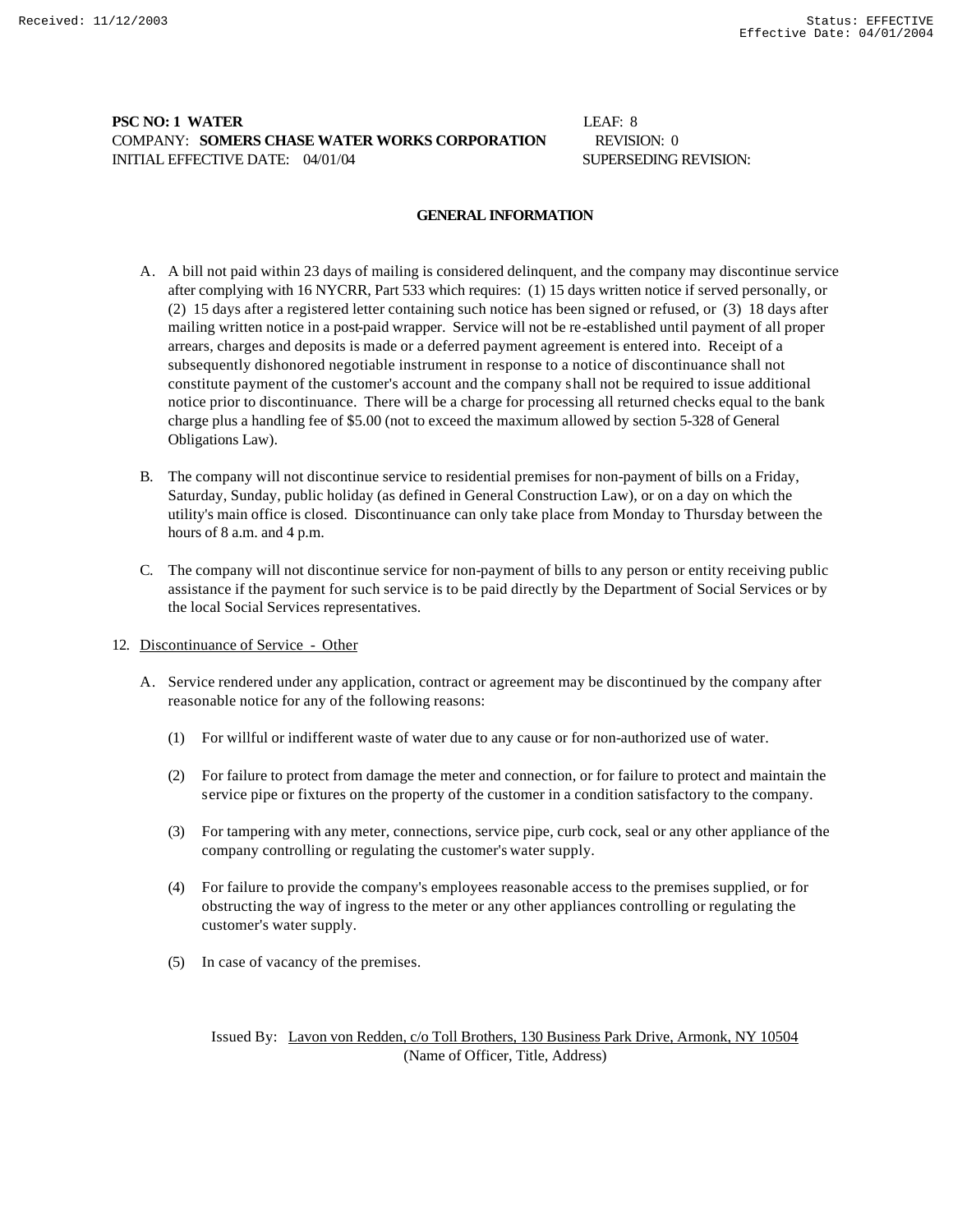# **PSC NO: 1 WATER** LEAF: 8 COMPANY: **SOMERS CHASE WATER WORKS CORPORATION** REVISION: 0 INITIAL EFFECTIVE DATE: 04/01/04 SUPERSEDING REVISION:

### **GENERAL INFORMATION**

- A. A bill not paid within 23 days of mailing is considered delinquent, and the company may discontinue service after complying with 16 NYCRR, Part 533 which requires: (1) 15 days written notice if served personally, or (2) 15 days after a registered letter containing such notice has been signed or refused, or (3) 18 days after mailing written notice in a post-paid wrapper. Service will not be re-established until payment of all proper arrears, charges and deposits is made or a deferred payment agreement is entered into. Receipt of a subsequently dishonored negotiable instrument in response to a notice of discontinuance shall not constitute payment of the customer's account and the company shall not be required to issue additional notice prior to discontinuance. There will be a charge for processing all returned checks equal to the bank charge plus a handling fee of \$5.00 (not to exceed the maximum allowed by section 5-328 of General Obligations Law).
- B. The company will not discontinue service to residential premises for non-payment of bills on a Friday, Saturday, Sunday, public holiday (as defined in General Construction Law), or on a day on which the utility's main office is closed. Discontinuance can only take place from Monday to Thursday between the hours of 8 a.m. and 4 p.m.
- C. The company will not discontinue service for non-payment of bills to any person or entity receiving public assistance if the payment for such service is to be paid directly by the Department of Social Services or by the local Social Services representatives.
- 12. Discontinuance of Service Other
	- A. Service rendered under any application, contract or agreement may be discontinued by the company after reasonable notice for any of the following reasons:
		- (1) For willful or indifferent waste of water due to any cause or for non-authorized use of water.
		- (2) For failure to protect from damage the meter and connection, or for failure to protect and maintain the service pipe or fixtures on the property of the customer in a condition satisfactory to the company.
		- (3) For tampering with any meter, connections, service pipe, curb cock, seal or any other appliance of the company controlling or regulating the customer's water supply.
		- (4) For failure to provide the company's employees reasonable access to the premises supplied, or for obstructing the way of ingress to the meter or any other appliances controlling or regulating the customer's water supply.
		- (5) In case of vacancy of the premises.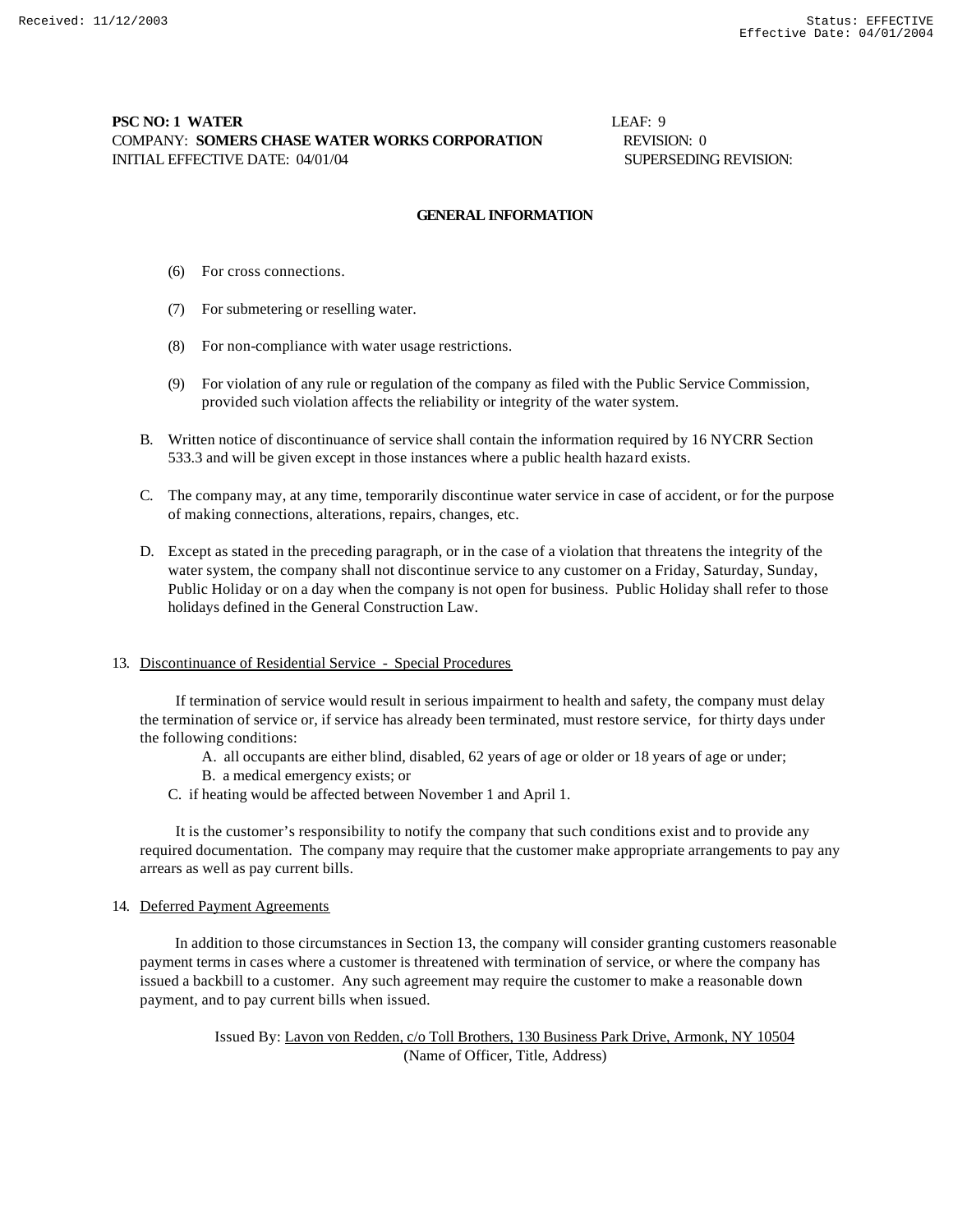# **PSC NO: 1 WATER LEAF: 9** COMPANY: **SOMERS CHASE WATER WORKS CORPORATION** REVISION: 0 INITIAL EFFECTIVE DATE: 04/01/04 SUPERSEDING REVISION:

### **GENERAL INFORMATION**

- (6) For cross connections.
- (7) For submetering or reselling water.
- (8) For non-compliance with water usage restrictions.
- (9) For violation of any rule or regulation of the company as filed with the Public Service Commission, provided such violation affects the reliability or integrity of the water system.
- B. Written notice of discontinuance of service shall contain the information required by 16 NYCRR Section 533.3 and will be given except in those instances where a public health hazard exists.
- C. The company may, at any time, temporarily discontinue water service in case of accident, or for the purpose of making connections, alterations, repairs, changes, etc.
- D. Except as stated in the preceding paragraph, or in the case of a violation that threatens the integrity of the water system, the company shall not discontinue service to any customer on a Friday, Saturday, Sunday, Public Holiday or on a day when the company is not open for business. Public Holiday shall refer to those holidays defined in the General Construction Law.

### 13. Discontinuance of Residential Service - Special Procedures

 If termination of service would result in serious impairment to health and safety, the company must delay the termination of service or, if service has already been terminated, must restore service, for thirty days under the following conditions:

- A. all occupants are either blind, disabled, 62 years of age or older or 18 years of age or under;
- B. a medical emergency exists; or
- C. if heating would be affected between November 1 and April 1.

 It is the customer's responsibility to notify the company that such conditions exist and to provide any required documentation. The company may require that the customer make appropriate arrangements to pay any arrears as well as pay current bills.

### 14. Deferred Payment Agreements

 In addition to those circumstances in Section 13, the company will consider granting customers reasonable payment terms in cases where a customer is threatened with termination of service, or where the company has issued a backbill to a customer. Any such agreement may require the customer to make a reasonable down payment, and to pay current bills when issued.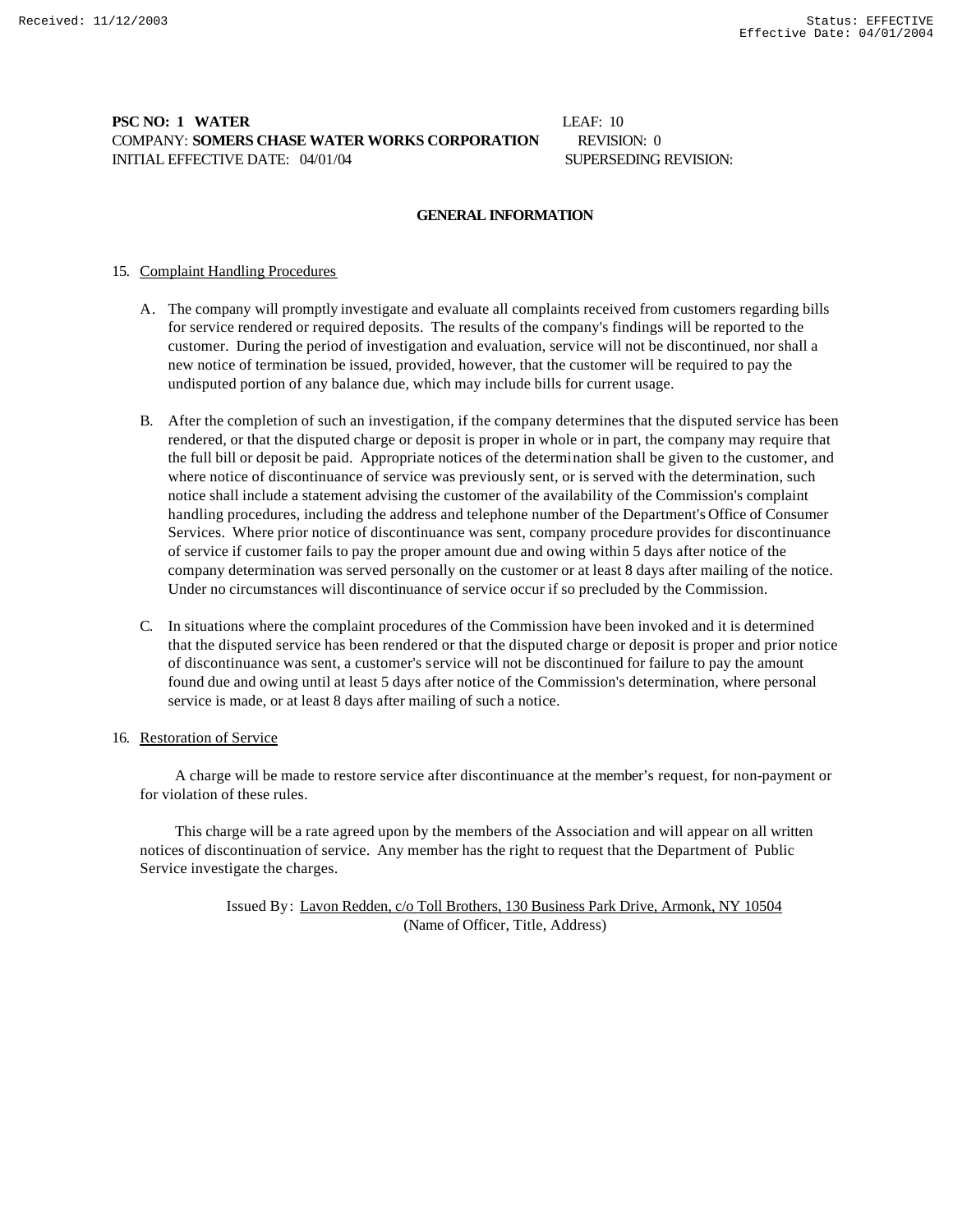# **PSC NO: 1 WATER** LEAF: 10 COMPANY: **SOMERS CHASE WATER WORKS CORPORATION** REVISION: 0 INITIAL EFFECTIVE DATE: 04/01/04 SUPERSEDING REVISION:

### **GENERAL INFORMATION**

### 15. Complaint Handling Procedures

- A. The company will promptly investigate and evaluate all complaints received from customers regarding bills for service rendered or required deposits. The results of the company's findings will be reported to the customer. During the period of investigation and evaluation, service will not be discontinued, nor shall a new notice of termination be issued, provided, however, that the customer will be required to pay the undisputed portion of any balance due, which may include bills for current usage.
- B. After the completion of such an investigation, if the company determines that the disputed service has been rendered, or that the disputed charge or deposit is proper in whole or in part, the company may require that the full bill or deposit be paid. Appropriate notices of the determination shall be given to the customer, and where notice of discontinuance of service was previously sent, or is served with the determination, such notice shall include a statement advising the customer of the availability of the Commission's complaint handling procedures, including the address and telephone number of the Department's Office of Consumer Services. Where prior notice of discontinuance was sent, company procedure provides for discontinuance of service if customer fails to pay the proper amount due and owing within 5 days after notice of the company determination was served personally on the customer or at least 8 days after mailing of the notice. Under no circumstances will discontinuance of service occur if so precluded by the Commission.
- C. In situations where the complaint procedures of the Commission have been invoked and it is determined that the disputed service has been rendered or that the disputed charge or deposit is proper and prior notice of discontinuance was sent, a customer's service will not be discontinued for failure to pay the amount found due and owing until at least 5 days after notice of the Commission's determination, where personal service is made, or at least 8 days after mailing of such a notice.

### 16. Restoration of Service

 A charge will be made to restore service after discontinuance at the member's request, for non-payment or for violation of these rules.

 This charge will be a rate agreed upon by the members of the Association and will appear on all written notices of discontinuation of service. Any member has the right to request that the Department of Public Service investigate the charges.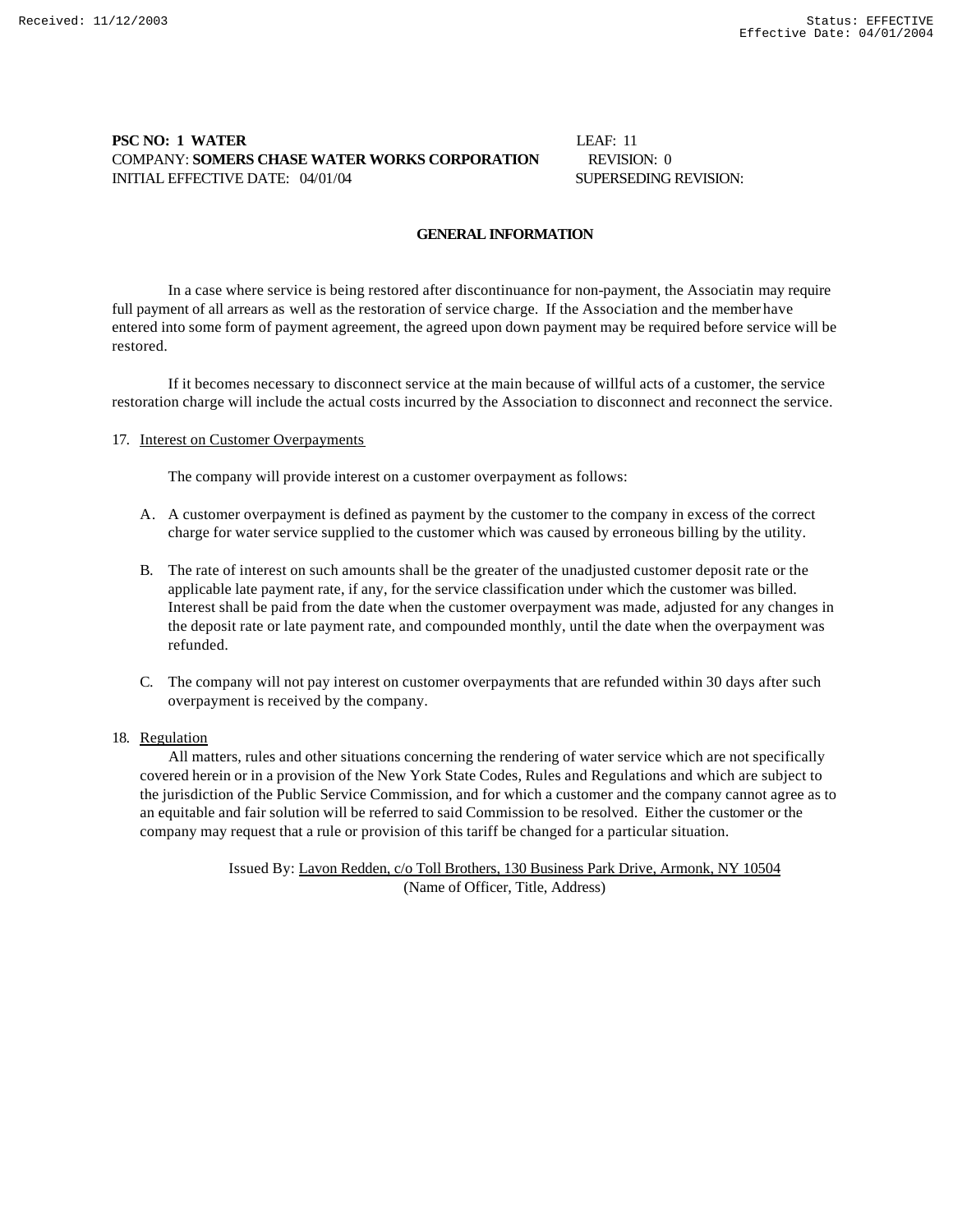## **PSC NO: 1 WATER** LEAF: 11 COMPANY: **SOMERS CHASE WATER WORKS CORPORATION** REVISION: 0 INITIAL EFFECTIVE DATE: 04/01/04 SUPERSEDING REVISION:

### **GENERAL INFORMATION**

In a case where service is being restored after discontinuance for non-payment, the Associatin may require full payment of all arrears as well as the restoration of service charge. If the Association and the member have entered into some form of payment agreement, the agreed upon down payment may be required before service will be restored.

If it becomes necessary to disconnect service at the main because of willful acts of a customer, the service restoration charge will include the actual costs incurred by the Association to disconnect and reconnect the service.

#### 17. Interest on Customer Overpayments

The company will provide interest on a customer overpayment as follows:

- A. A customer overpayment is defined as payment by the customer to the company in excess of the correct charge for water service supplied to the customer which was caused by erroneous billing by the utility.
- B. The rate of interest on such amounts shall be the greater of the unadjusted customer deposit rate or the applicable late payment rate, if any, for the service classification under which the customer was billed. Interest shall be paid from the date when the customer overpayment was made, adjusted for any changes in the deposit rate or late payment rate, and compounded monthly, until the date when the overpayment was refunded.
- C. The company will not pay interest on customer overpayments that are refunded within 30 days after such overpayment is received by the company.

### 18. Regulation

 All matters, rules and other situations concerning the rendering of water service which are not specifically covered herein or in a provision of the New York State Codes, Rules and Regulations and which are subject to the jurisdiction of the Public Service Commission, and for which a customer and the company cannot agree as to an equitable and fair solution will be referred to said Commission to be resolved. Either the customer or the company may request that a rule or provision of this tariff be changed for a particular situation.